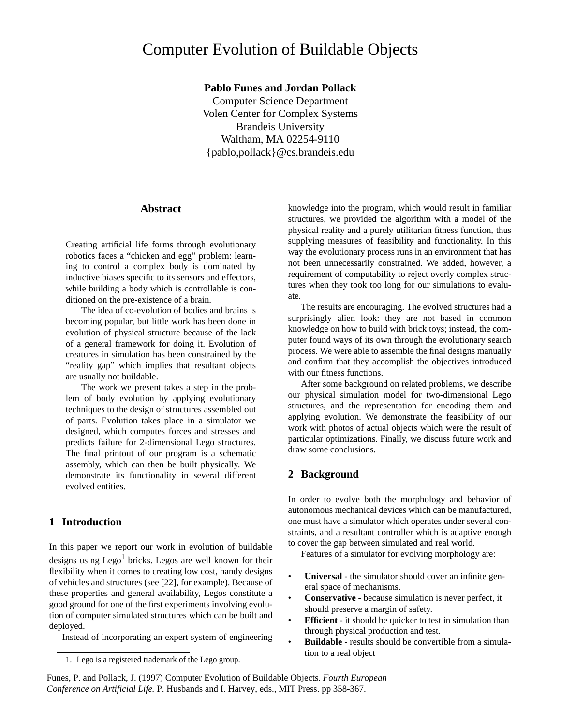# Computer Evolution of Buildable Objects

**Pablo Funes and Jordan Pollack**

Computer Science Department Volen Center for Complex Systems Brandeis University Waltham, MA 02254-9110 {pablo,pollack}@cs.brandeis.edu

# **Abstract**

Creating artificial life forms through evolutionary robotics faces a "chicken and egg" problem: learning to control a complex body is dominated by inductive biases specific to its sensors and effectors, while building a body which is controllable is conditioned on the pre-existence of a brain.

The idea of co-evolution of bodies and brains is becoming popular, but little work has been done in evolution of physical structure because of the lack of a general framework for doing it. Evolution of creatures in simulation has been constrained by the "reality gap" which implies that resultant objects are usually not buildable.

The work we present takes a step in the problem of body evolution by applying evolutionary techniques to the design of structures assembled out of parts. Evolution takes place in a simulator we designed, which computes forces and stresses and predicts failure for 2-dimensional Lego structures. The final printout of our program is a schematic assembly, which can then be built physically. We demonstrate its functionality in several different evolved entities.

# **1 Introduction**

In this paper we report our work in evolution of buildable designs using  $Lego<sup>1</sup>$  bricks. Legos are well known for their flexibility when it comes to creating low cost, handy designs of vehicles and structures (see [22], for example). Because of these properties and general availability, Legos constitute a good ground for one of the first experiments involving evolution of computer simulated structures which can be built and deployed.

Instead of incorporating an expert system of engineering

knowledge into the program, which would result in familiar structures, we provided the algorithm with a model of the physical reality and a purely utilitarian fitness function, thus supplying measures of feasibility and functionality. In this way the evolutionary process runs in an environment that has not been unnecessarily constrained. We added, however, a requirement of computability to reject overly complex structures when they took too long for our simulations to evaluate.

The results are encouraging. The evolved structures had a surprisingly alien look: they are not based in common knowledge on how to build with brick toys; instead, the computer found ways of its own through the evolutionary search process. We were able to assemble the final designs manually and confirm that they accomplish the objectives introduced with our fitness functions.

After some background on related problems, we describe our physical simulation model for two-dimensional Lego structures, and the representation for encoding them and applying evolution. We demonstrate the feasibility of our work with photos of actual objects which were the result of particular optimizations. Finally, we discuss future work and draw some conclusions.

# **2 Background**

In order to evolve both the morphology and behavior of autonomous mechanical devices which can be manufactured, one must have a simulator which operates under several constraints, and a resultant controller which is adaptive enough to cover the gap between simulated and real world.

Features of a simulator for evolving morphology are:

- **Universal** the simulator should cover an infinite general space of mechanisms.
- **Conservative** because simulation is never perfect, it should preserve a margin of safety.
- **Efficient** it should be quicker to test in simulation than through physical production and test.
- **Buildable** results should be convertible from a simulation to a real object

Funes, P. and Pollack, J. (1997) Computer Evolution of Buildable Objects. *Fourth European Conference on Artificial Life.* P. Husbands and I. Harvey, eds., MIT Press. pp 358-367.

<sup>1.</sup> Lego is a registered trademark of the Lego group.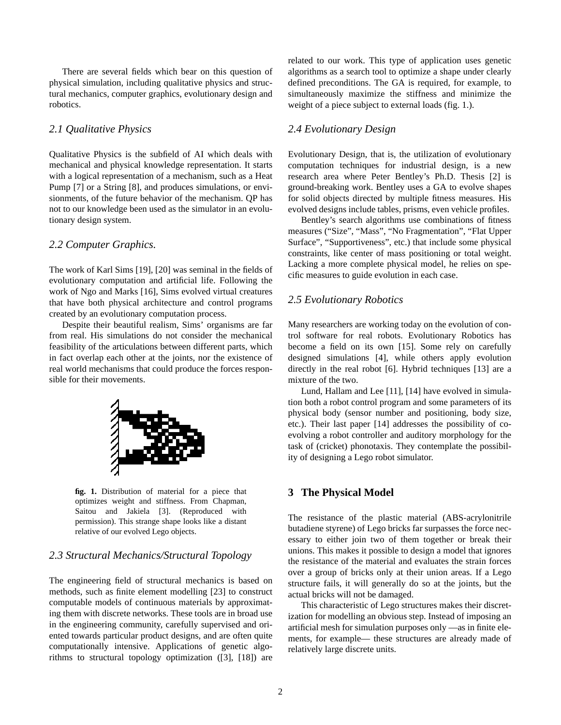There are several fields which bear on this question of physical simulation, including qualitative physics and structural mechanics, computer graphics, evolutionary design and robotics.

# *2.1 Qualitative Physics*

Qualitative Physics is the subfield of AI which deals with mechanical and physical knowledge representation. It starts with a logical representation of a mechanism, such as a Heat Pump [7] or a String [8], and produces simulations, or envisionments, of the future behavior of the mechanism. QP has not to our knowledge been used as the simulator in an evolutionary design system.

#### *2.2 Computer Graphics.*

The work of Karl Sims [19], [20] was seminal in the fields of evolutionary computation and artificial life. Following the work of Ngo and Marks [16], Sims evolved virtual creatures that have both physical architecture and control programs created by an evolutionary computation process.

Despite their beautiful realism, Sims' organisms are far from real. His simulations do not consider the mechanical feasibility of the articulations between different parts, which in fact overlap each other at the joints, nor the existence of real world mechanisms that could produce the forces responsible for their movements.



**fig. 1.** Distribution of material for a piece that optimizes weight and stiffness. From Chapman, Saitou and Jakiela [3]. (Reproduced with permission). This strange shape looks like a distant relative of our evolved Lego objects.

# *2.3 Structural Mechanics/Structural Topology*

The engineering field of structural mechanics is based on methods, such as finite element modelling [23] to construct computable models of continuous materials by approximating them with discrete networks. These tools are in broad use in the engineering community, carefully supervised and oriented towards particular product designs, and are often quite computationally intensive. Applications of genetic algorithms to structural topology optimization ([3], [18]) are related to our work. This type of application uses genetic algorithms as a search tool to optimize a shape under clearly defined preconditions. The GA is required, for example, to simultaneously maximize the stiffness and minimize the weight of a piece subject to external loads (fig. 1.).

# *2.4 Evolutionary Design*

Evolutionary Design, that is, the utilization of evolutionary computation techniques for industrial design, is a new research area where Peter Bentley's Ph.D. Thesis [2] is ground-breaking work. Bentley uses a GA to evolve shapes for solid objects directed by multiple fitness measures. His evolved designs include tables, prisms, even vehicle profiles.

Bentley's search algorithms use combinations of fitness measures ("Size", "Mass", "No Fragmentation", "Flat Upper Surface", "Supportiveness", etc.) that include some physical constraints, like center of mass positioning or total weight. Lacking a more complete physical model, he relies on specific measures to guide evolution in each case.

# *2.5 Evolutionary Robotics*

Many researchers are working today on the evolution of control software for real robots. Evolutionary Robotics has become a field on its own [15]. Some rely on carefully designed simulations [4], while others apply evolution directly in the real robot [6]. Hybrid techniques [13] are a mixture of the two.

Lund, Hallam and Lee [11], [14] have evolved in simulation both a robot control program and some parameters of its physical body (sensor number and positioning, body size, etc.). Their last paper [14] addresses the possibility of coevolving a robot controller and auditory morphology for the task of (cricket) phonotaxis. They contemplate the possibility of designing a Lego robot simulator.

# **3 The Physical Model**

The resistance of the plastic material (ABS-acrylonitrile butadiene styrene) of Lego bricks far surpasses the force necessary to either join two of them together or break their unions. This makes it possible to design a model that ignores the resistance of the material and evaluates the strain forces over a group of bricks only at their union areas. If a Lego structure fails, it will generally do so at the joints, but the actual bricks will not be damaged.

This characteristic of Lego structures makes their discretization for modelling an obvious step. Instead of imposing an artificial mesh for simulation purposes only —as in finite elements, for example— these structures are already made of relatively large discrete units.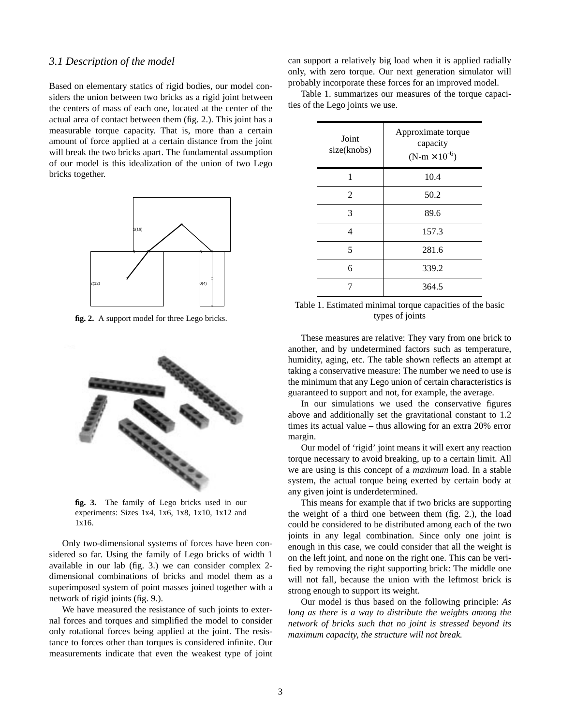#### *3.1 Description of the model*

Based on elementary statics of rigid bodies, our model considers the union between two bricks as a rigid joint between the centers of mass of each one, located at the center of the actual area of contact between them (fig. 2.). This joint has a measurable torque capacity. That is, more than a certain amount of force applied at a certain distance from the joint will break the two bricks apart. The fundamental assumption of our model is this idealization of the union of two Lego bricks together.



**fig. 2.** A support model for three Lego bricks.



**fig. 3.** The family of Lego bricks used in our experiments: Sizes 1x4, 1x6, 1x8, 1x10, 1x12 and 1x16.

Only two-dimensional systems of forces have been considered so far. Using the family of Lego bricks of width 1 available in our lab (fig. 3.) we can consider complex 2 dimensional combinations of bricks and model them as a superimposed system of point masses joined together with a network of rigid joints (fig. 9.).

We have measured the resistance of such joints to external forces and torques and simplified the model to consider only rotational forces being applied at the joint. The resistance to forces other than torques is considered infinite. Our measurements indicate that even the weakest type of joint

can support a relatively big load when it is applied radially only, with zero torque. Our next generation simulator will probably incorporate these forces for an improved model.

Table 1. summarizes our measures of the torque capacities of the Lego joints we use.

| Joint<br>size(knobs) | Approximate torque<br>capacity<br>$(N-m \times 10^{-6})$ |
|----------------------|----------------------------------------------------------|
| 1                    | 10.4                                                     |
| $\overline{2}$       | 50.2                                                     |
| 3                    | 89.6                                                     |
| 4                    | 157.3                                                    |
| 5                    | 281.6                                                    |
| 6                    | 339.2                                                    |
|                      | 364.5                                                    |

Table 1. Estimated minimal torque capacities of the basic types of joints

These measures are relative: They vary from one brick to another, and by undetermined factors such as temperature, humidity, aging, etc. The table shown reflects an attempt at taking a conservative measure: The number we need to use is the minimum that any Lego union of certain characteristics is guaranteed to support and not, for example, the average.

In our simulations we used the conservative figures above and additionally set the gravitational constant to 1.2 times its actual value – thus allowing for an extra 20% error margin.

Our model of 'rigid' joint means it will exert any reaction torque necessary to avoid breaking, up to a certain limit. All we are using is this concept of a *maximum* load. In a stable system, the actual torque being exerted by certain body at any given joint is underdetermined.

This means for example that if two bricks are supporting the weight of a third one between them (fig. 2.), the load could be considered to be distributed among each of the two joints in any legal combination. Since only one joint is enough in this case, we could consider that all the weight is on the left joint, and none on the right one. This can be verified by removing the right supporting brick: The middle one will not fall, because the union with the leftmost brick is strong enough to support its weight.

Our model is thus based on the following principle: *As long as there is a way to distribute the weights among the network of bricks such that no joint is stressed beyond its maximum capacity, the structure will not break.*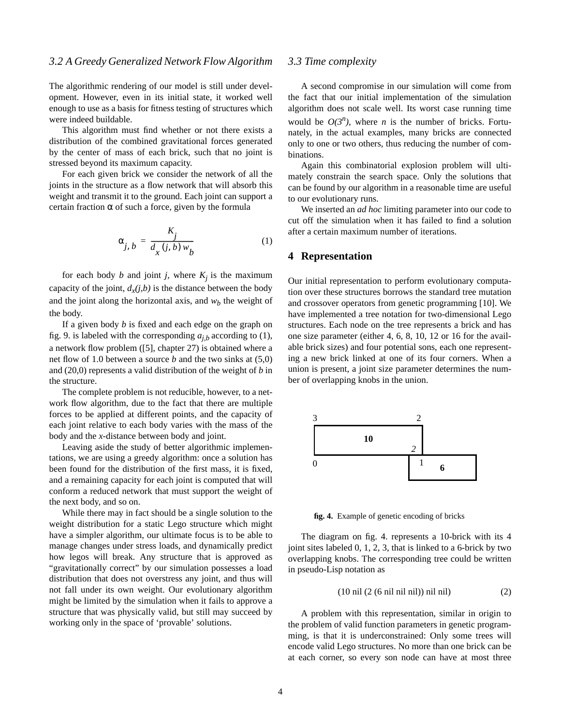The algorithmic rendering of our model is still under development. However, even in its initial state, it worked well enough to use as a basis for fitness testing of structures which were indeed buildable.

This algorithm must find whether or not there exists a distribution of the combined gravitational forces generated by the center of mass of each brick, such that no joint is stressed beyond its maximum capacity.

For each given brick we consider the network of all the joints in the structure as a flow network that will absorb this weight and transmit it to the ground. Each joint can support a certain fraction  $\alpha$  of such a force, given by the formula

$$
\alpha_{j, b} = \frac{K_j}{d_x(j, b) w_b} \tag{1}
$$

for each body *b* and joint *j*, where  $K_j$  is the maximum capacity of the joint,  $d_x(j,b)$  is the distance between the body and the joint along the horizontal axis, and  $w<sub>b</sub>$  the weight of the body.

If a given body *b* is fixed and each edge on the graph on fig. 9. is labeled with the corresponding  $a_{j,b}$  according to (1), a network flow problem ([5], chapter 27) is obtained where a net flow of 1.0 between a source *b* and the two sinks at (5,0) and (20,0) represents a valid distribution of the weight of *b* in the structure.

The complete problem is not reducible, however, to a network flow algorithm, due to the fact that there are multiple forces to be applied at different points, and the capacity of each joint relative to each body varies with the mass of the body and the *x-*distance between body and joint.

Leaving aside the study of better algorithmic implementations, we are using a greedy algorithm: once a solution has been found for the distribution of the first mass, it is fixed, and a remaining capacity for each joint is computed that will conform a reduced network that must support the weight of the next body, and so on.

While there may in fact should be a single solution to the weight distribution for a static Lego structure which might have a simpler algorithm, our ultimate focus is to be able to manage changes under stress loads, and dynamically predict how legos will break. Any structure that is approved as "gravitationally correct" by our simulation possesses a load distribution that does not overstress any joint, and thus will not fall under its own weight. Our evolutionary algorithm might be limited by the simulation when it fails to approve a structure that was physically valid, but still may succeed by working only in the space of 'provable' solutions.

# *3.3 Time complexity*

A second compromise in our simulation will come from the fact that our initial implementation of the simulation algorithm does not scale well. Its worst case running time would be  $O(3^n)$ , where *n* is the number of bricks. Fortunately, in the actual examples, many bricks are connected only to one or two others, thus reducing the number of combinations.

Again this combinatorial explosion problem will ultimately constrain the search space. Only the solutions that can be found by our algorithm in a reasonable time are useful to our evolutionary runs.

We inserted an *ad hoc* limiting parameter into our code to cut off the simulation when it has failed to find a solution after a certain maximum number of iterations.

#### **4 Representation**

Our initial representation to perform evolutionary computation over these structures borrows the standard tree mutation and crossover operators from genetic programming [10]. We have implemented a tree notation for two-dimensional Lego structures. Each node on the tree represents a brick and has one size parameter (either 4, 6, 8, 10, 12 or 16 for the available brick sizes) and four potential sons, each one representing a new brick linked at one of its four corners. When a union is present, a joint size parameter determines the number of overlapping knobs in the union.



**fig. 4.** Example of genetic encoding of bricks

The diagram on fig. 4. represents a 10-brick with its 4 joint sites labeled 0, 1, 2, 3, that is linked to a 6-brick by two overlapping knobs. The corresponding tree could be written in pseudo-Lisp notation as

$$
(10 \text{ nil } (2 (6 \text{ nil nil nil})) \text{ nil nil})
$$
 (2)

A problem with this representation, similar in origin to the problem of valid function parameters in genetic programming, is that it is underconstrained: Only some trees will encode valid Lego structures. No more than one brick can be at each corner, so every son node can have at most three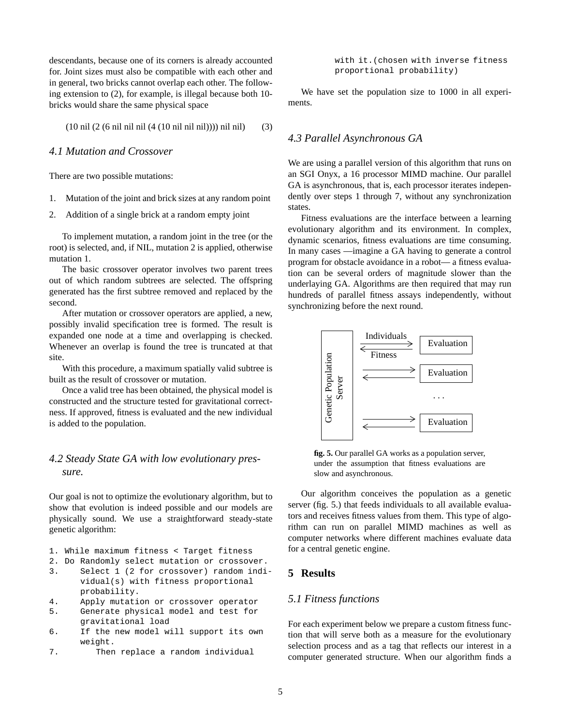descendants, because one of its corners is already accounted for. Joint sizes must also be compatible with each other and in general, two bricks cannot overlap each other. The following extension to (2), for example, is illegal because both 10 bricks would share the same physical space

(10 nil (2 (6 nil nil nil (4 (10 nil nil nil)))) nil nil) (3)

# *4.1 Mutation and Crossover*

There are two possible mutations:

- 1. Mutation of the joint and brick sizes at any random point
- 2. Addition of a single brick at a random empty joint

To implement mutation, a random joint in the tree (or the root) is selected, and, if NIL, mutation 2 is applied, otherwise mutation 1.

The basic crossover operator involves two parent trees out of which random subtrees are selected. The offspring generated has the first subtree removed and replaced by the second.

After mutation or crossover operators are applied, a new, possibly invalid specification tree is formed. The result is expanded one node at a time and overlapping is checked. Whenever an overlap is found the tree is truncated at that site.

With this procedure, a maximum spatially valid subtree is built as the result of crossover or mutation.

Once a valid tree has been obtained, the physical model is constructed and the structure tested for gravitational correctness. If approved, fitness is evaluated and the new individual is added to the population.

# *4.2 Steady State GA with low evolutionary pressure.*

Our goal is not to optimize the evolutionary algorithm, but to show that evolution is indeed possible and our models are physically sound. We use a straightforward steady-state genetic algorithm:

- 1. While maximum fitness < Target fitness
- 2. Do Randomly select mutation or crossover.
- 3. Select 1 (2 for crossover) random individual(s) with fitness proportional probability.
- 4. Apply mutation or crossover operator
- 5. Generate physical model and test for gravitational load
- 6. If the new model will support its own weight.
- 7. Then replace a random individual

with it.(chosen with inverse fitness proportional probability)

We have set the population size to 1000 in all experiments.

#### *4.3 Parallel Asynchronous GA*

We are using a parallel version of this algorithm that runs on an SGI Onyx, a 16 processor MIMD machine. Our parallel GA is asynchronous, that is, each processor iterates independently over steps 1 through 7, without any synchronization states.

Fitness evaluations are the interface between a learning evolutionary algorithm and its environment. In complex, dynamic scenarios, fitness evaluations are time consuming. In many cases —imagine a GA having to generate a control program for obstacle avoidance in a robot— a fitness evaluation can be several orders of magnitude slower than the underlaying GA. Algorithms are then required that may run hundreds of parallel fitness assays independently, without synchronizing before the next round.



**fig. 5.** Our parallel GA works as a population server, under the assumption that fitness evaluations are slow and asynchronous.

Our algorithm conceives the population as a genetic server (fig. 5.) that feeds individuals to all available evaluators and receives fitness values from them. This type of algorithm can run on parallel MIMD machines as well as computer networks where different machines evaluate data for a central genetic engine.

# **5 Results**

#### *5.1 Fitness functions*

For each experiment below we prepare a custom fitness function that will serve both as a measure for the evolutionary selection process and as a tag that reflects our interest in a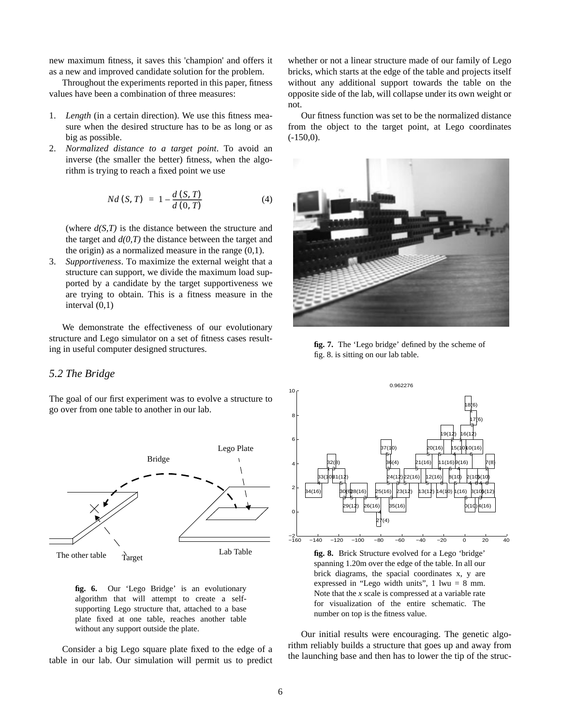new maximum fitness, it saves this 'champion' and offers it as a new and improved candidate solution for the problem.

Throughout the experiments reported in this paper, fitness values have been a combination of three measures:

- 1. *Length* (in a certain direction). We use this fitness measure when the desired structure has to be as long or as big as possible.
- 2. *Normalized distance to a target point*. To avoid an inverse (the smaller the better) fitness, when the algorithm is trying to reach a fixed point we use

$$
Nd(S, T) = 1 - \frac{d(S, T)}{d(0, T)}
$$
(4)

(where *d(S,T)* is the distance between the structure and the target and  $d(0,T)$  the distance between the target and the origin) as a normalized measure in the range  $(0,1)$ .

3. *Supportiveness*. To maximize the external weight that a structure can support, we divide the maximum load supported by a candidate by the target supportiveness we are trying to obtain. This is a fitness measure in the interval (0,1)

We demonstrate the effectiveness of our evolutionary structure and Lego simulator on a set of fitness cases resulting in useful computer designed structures.

#### *5.2 The Bridge*

The goal of our first experiment was to evolve a structure to go over from one table to another in our lab.



**fig. 6.** Our 'Lego Bridge' is an evolutionary algorithm that will attempt to create a selfsupporting Lego structure that, attached to a base plate fixed at one table, reaches another table without any support outside the plate.

Consider a big Lego square plate fixed to the edge of a table in our lab. Our simulation will permit us to predict whether or not a linear structure made of our family of Lego bricks, which starts at the edge of the table and projects itself without any additional support towards the table on the opposite side of the lab, will collapse under its own weight or not.

Our fitness function was set to be the normalized distance from the object to the target point, at Lego coordinates (-150,0).



**fig. 7.** The 'Lego bridge' defined by the scheme of fig. 8. is sitting on our lab table.



**fig. 8.** Brick Structure evolved for a Lego 'bridge' spanning 1.20m over the edge of the table. In all our brick diagrams, the spacial coordinates x, y are expressed in "Lego width units",  $1 \text{ lwu} = 8 \text{ mm}$ . Note that the *x* scale is compressed at a variable rate for visualization of the entire schematic. The number on top is the fitness value.

Our initial results were encouraging. The genetic algorithm reliably builds a structure that goes up and away from the launching base and then has to lower the tip of the struc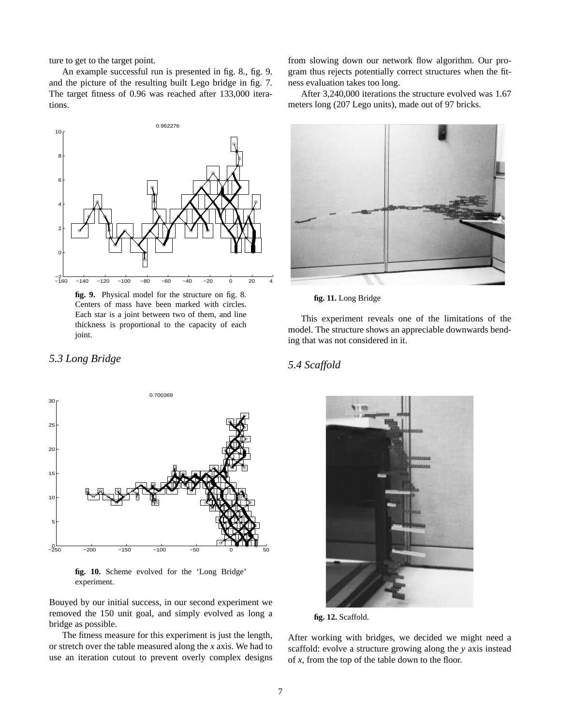ture to get to the target point.

*5.3 Long Bridge*

An example successful run is presented in fig. 8., fig. 9. and the picture of the resulting built Lego bridge in fig. 7. The target fitness of 0.96 was reached after 133,000 iterations.



**fig. 9.** Physical model for the structure on fig. 8. Centers of mass have been marked with circles. Each star is a joint between two of them, and line thickness is proportional to the capacity of each joint.

# −250 −200 −150 −100 −50 0 50 5 10 15  $\overline{2}$ 25 30 0.700369

**fig. 10.** Scheme evolved for the 'Long Bridge' experiment.

Bouyed by our initial success, in our second experiment we removed the 150 unit goal, and simply evolved as long a bridge as possible.

The fitness measure for this experiment is just the length, or stretch over the table measured along the *x* axis. We had to use an iteration cutout to prevent overly complex designs from slowing down our network flow algorithm. Our program thus rejects potentially correct structures when the fitness evaluation takes too long.

After 3,240,000 iterations the structure evolved was 1.67 meters long (207 Lego units), made out of 97 bricks.



**fig. 11.** Long Bridge

This experiment reveals one of the limitations of the model. The structure shows an appreciable downwards bending that was not considered in it.

# *5.4 Scaffold*



**fig. 12.** Scaffold.

After working with bridges, we decided we might need a scaffold: evolve a structure growing along the *y* axis instead of *x*, from the top of the table down to the floor.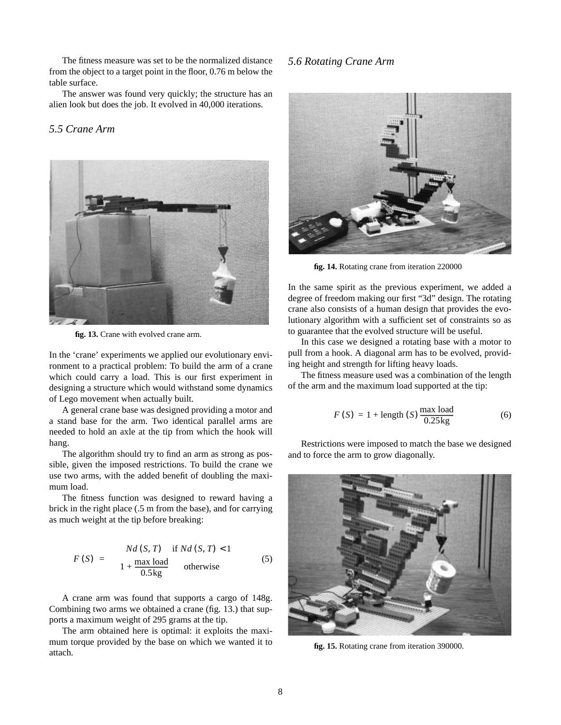The fitness measure was set to be the normalized distance from the object to a target point in the floor, 0.76 m below the table surface.

The answer was found very quickly; the structure has an alien look but does the job. It evolved in 40,000 iterations.

# *5.5 Crane Arm*



**fig. 13.** Crane with evolved crane arm.

In the 'crane' experiments we applied our evolutionary environment to a practical problem: To build the arm of a crane which could carry a load. This is our first experiment in designing a structure which would withstand some dynamics of Lego movement when actually built.

A general crane base was designed providing a motor and a stand base for the arm. Two identical parallel arms are needed to hold an axle at the tip from which the hook will hang.

The algorithm should try to find an arm as strong as possible, given the imposed restrictions. To build the crane we use two arms, with the added benefit of doubling the maximum load.

The fitness function was designed to reward having a brick in the right place (.5 m from the base), and for carrying as much weight at the tip before breaking:

$$
F(S) = \begin{cases} Nd(S, T) & \text{if } Nd(S, T) < 1 \\ 1 + \frac{\max \text{ load}}{0.5 \text{ kg}} & \text{otherwise} \end{cases}
$$
(5)

A crane arm was found that supports a cargo of 148g. Combining two arms we obtained a crane (fig. 13.) that supports a maximum weight of 295 grams at the tip.

The arm obtained here is optimal: it exploits the maximum torque provided by the base on which we wanted it to attach.

# *5.6 Rotating Crane Arm*



**fig. 14.** Rotating crane from iteration 220000

In the same spirit as the previous experiment, we added a degree of freedom making our first "3d" design. The rotating crane also consists of a human design that provides the evolutionary algorithm with a sufficient set of constraints so as to guarantee that the evolved structure will be useful.

In this case we designed a rotating base with a motor to pull from a hook. A diagonal arm has to be evolved, providing height and strength for lifting heavy loads.

The fitness measure used was a combination of the length of the arm and the maximum load supported at the tip:

$$
F(S) = 1 + \text{length}(S) \frac{\text{max load}}{0.25 \text{kg}}
$$
 (6)

Restrictions were imposed to match the base we designed and to force the arm to grow diagonally.



**fig. 15.** Rotating crane from iteration 390000.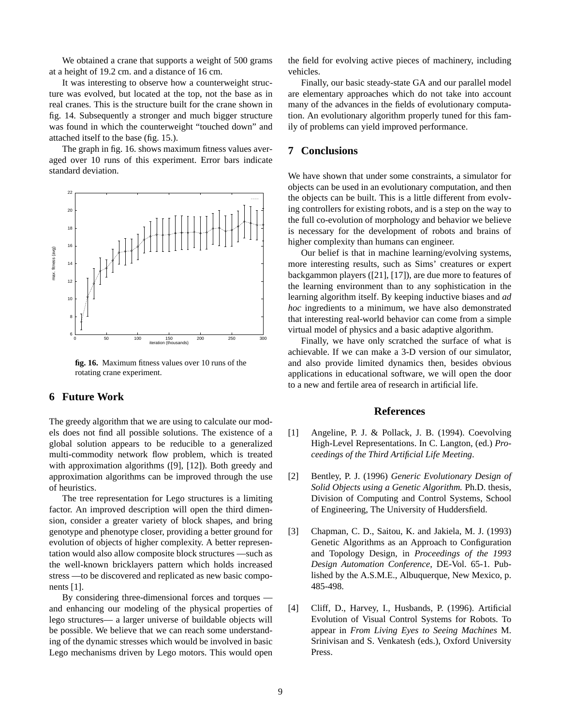We obtained a crane that supports a weight of 500 grams at a height of 19.2 cm. and a distance of 16 cm.

It was interesting to observe how a counterweight structure was evolved, but located at the top, not the base as in real cranes. This is the structure built for the crane shown in fig. 14. Subsequently a stronger and much bigger structure was found in which the counterweight "touched down" and attached itself to the base (fig. 15.).

The graph in fig. 16. shows maximum fitness values averaged over 10 runs of this experiment. Error bars indicate standard deviation.



**fig. 16.** Maximum fitness values over 10 runs of the rotating crane experiment.

#### **6 Future Work**

The greedy algorithm that we are using to calculate our models does not find all possible solutions. The existence of a global solution appears to be reducible to a generalized multi-commodity network flow problem, which is treated with approximation algorithms ([9], [12]). Both greedy and approximation algorithms can be improved through the use of heuristics.

The tree representation for Lego structures is a limiting factor. An improved description will open the third dimension, consider a greater variety of block shapes, and bring genotype and phenotype closer, providing a better ground for evolution of objects of higher complexity. A better representation would also allow composite block structures —such as the well-known bricklayers pattern which holds increased stress —to be discovered and replicated as new basic components [1].

By considering three-dimensional forces and torques and enhancing our modeling of the physical properties of lego structures— a larger universe of buildable objects will be possible. We believe that we can reach some understanding of the dynamic stresses which would be involved in basic Lego mechanisms driven by Lego motors. This would open

the field for evolving active pieces of machinery, including vehicles.

Finally, our basic steady-state GA and our parallel model are elementary approaches which do not take into account many of the advances in the fields of evolutionary computation. An evolutionary algorithm properly tuned for this family of problems can yield improved performance.

# **7 Conclusions**

We have shown that under some constraints, a simulator for objects can be used in an evolutionary computation, and then the objects can be built. This is a little different from evolving controllers for existing robots, and is a step on the way to the full co-evolution of morphology and behavior we believe is necessary for the development of robots and brains of higher complexity than humans can engineer.

Our belief is that in machine learning/evolving systems, more interesting results, such as Sims' creatures or expert backgammon players ([21], [17]), are due more to features of the learning environment than to any sophistication in the learning algorithm itself. By keeping inductive biases and *ad hoc* ingredients to a minimum, we have also demonstrated that interesting real-world behavior can come from a simple virtual model of physics and a basic adaptive algorithm.

Finally, we have only scratched the surface of what is achievable. If we can make a 3-D version of our simulator, and also provide limited dynamics then, besides obvious applications in educational software, we will open the door to a new and fertile area of research in artificial life.

#### **References**

- [1] Angeline, P. J. & Pollack, J. B. (1994). Coevolving High-Level Representations. In C. Langton, (ed.) *Proceedings of the Third Artificial Life Meeting*.
- [2] Bentley, P. J. (1996) *Generic Evolutionary Design of Solid Objects using a Genetic Algorithm.* Ph.D. thesis, Division of Computing and Control Systems, School of Engineering, The University of Huddersfield.
- [3] Chapman, C. D., Saitou, K. and Jakiela, M. J. (1993) Genetic Algorithms as an Approach to Configuration and Topology Design, in *Proceedings of the 1993 Design Automation Conference*, DE-Vol. 65-1. Published by the A.S.M.E., Albuquerque, New Mexico, p. 485-498.
- [4] Cliff, D., Harvey, I., Husbands, P. (1996). Artificial Evolution of Visual Control Systems for Robots. To appear in *From Living Eyes to Seeing Machines* M. Srinivisan and S. Venkatesh (eds.), Oxford University Press.